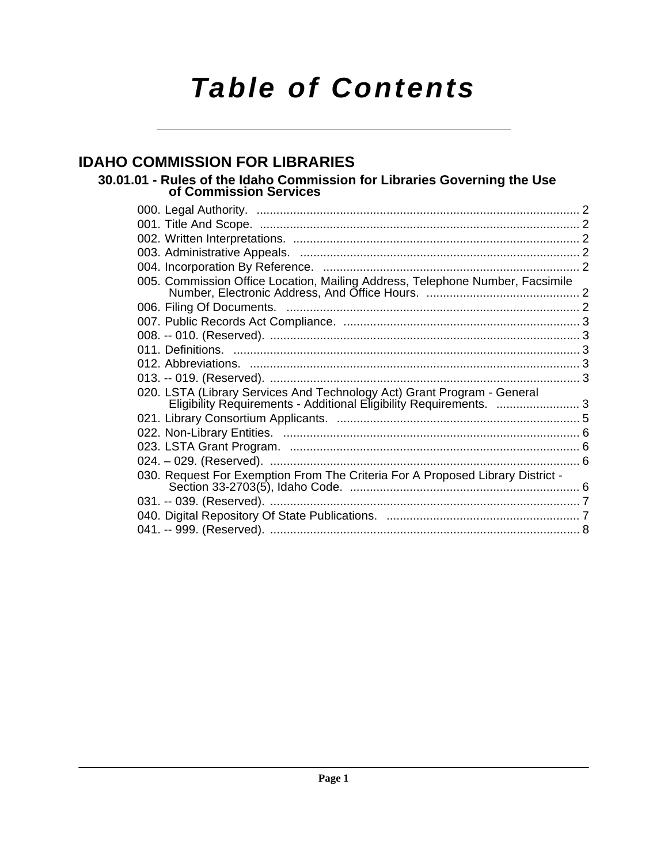# *Table of Contents*

## **[IDAHO COMMISSION FOR LIBRARIES](#page-1-0)**

**[30.01.01 - Rules of the Idaho Commission for Libraries Governing the Use of Commission Services](#page-1-1)**

| 005. Commission Office Location, Mailing Address, Telephone Number, Facsimile                                                                |  |
|----------------------------------------------------------------------------------------------------------------------------------------------|--|
|                                                                                                                                              |  |
|                                                                                                                                              |  |
|                                                                                                                                              |  |
|                                                                                                                                              |  |
|                                                                                                                                              |  |
|                                                                                                                                              |  |
| 020. LSTA (Library Services And Technology Act) Grant Program - General<br>Eligibility Requirements - Additional Eligibility Requirements. 3 |  |
|                                                                                                                                              |  |
|                                                                                                                                              |  |
|                                                                                                                                              |  |
|                                                                                                                                              |  |
| 030. Request For Exemption From The Criteria For A Proposed Library District -                                                               |  |
|                                                                                                                                              |  |
|                                                                                                                                              |  |
|                                                                                                                                              |  |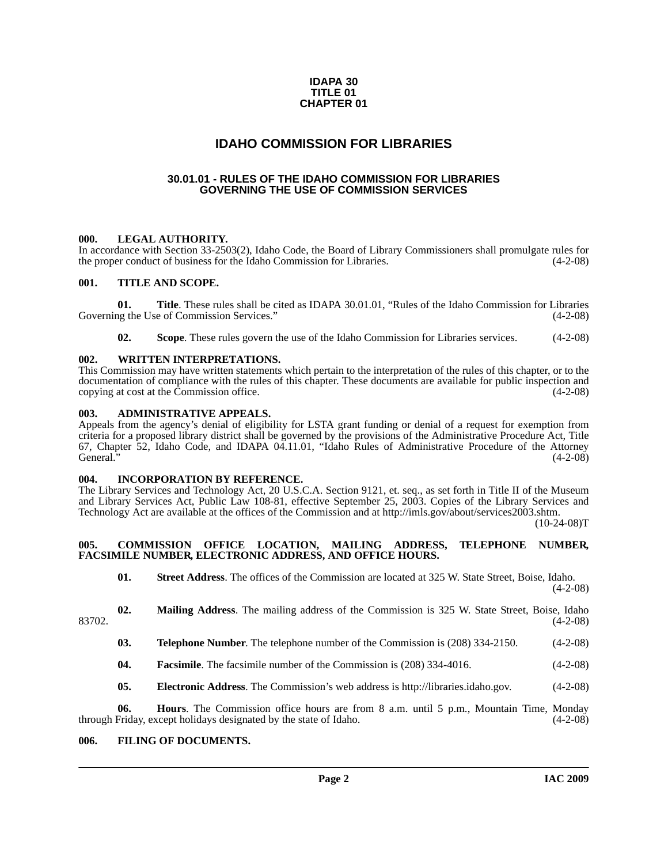#### **IDAPA 30 TITLE 01 CHAPTER 01**

## **IDAHO COMMISSION FOR LIBRARIES**

### <span id="page-1-0"></span>**30.01.01 - RULES OF THE IDAHO COMMISSION FOR LIBRARIES GOVERNING THE USE OF COMMISSION SERVICES**

#### <span id="page-1-2"></span><span id="page-1-1"></span>**000. LEGAL AUTHORITY.**

In accordance with Section 33-2503(2), Idaho Code, the Board of Library Commissioners shall promulgate rules for the proper conduct of business for the Idaho Commission for Libraries. (4-2-08)

### <span id="page-1-3"></span>**001. TITLE AND SCOPE.**

**01. Title**. These rules shall be cited as IDAPA 30.01.01, "Rules of the Idaho Commission for Libraries Governing the Use of Commission Services." (4-2-08)

**02.** Scope. These rules govern the use of the Idaho Commission for Libraries services. (4-2-08)

#### <span id="page-1-4"></span>**002. WRITTEN INTERPRETATIONS.**

This Commission may have written statements which pertain to the interpretation of the rules of this chapter, or to the documentation of compliance with the rules of this chapter. These documents are available for public inspection and copying at cost at the Commission office. (4-2-08)

#### <span id="page-1-5"></span>**003. ADMINISTRATIVE APPEALS.**

Appeals from the agency's denial of eligibility for LSTA grant funding or denial of a request for exemption from criteria for a proposed library district shall be governed by the provisions of the Administrative Procedure Act, Title 67, Chapter 52, Idaho Code, and IDAPA 04.11.01, "Idaho Rules of Administrative Procedure of the Attorney General."  $(4-2-08)$ 

#### <span id="page-1-6"></span>**004. INCORPORATION BY REFERENCE.**

[The Library Services and Technology Act, 20 U.S.C.A. Section 9121, et. seq., as set forth in Title II of the Museum](http://imls.gov/about/services2003.shtm) and Library Services Act, Public Law 108-81, effective September 25, 2003. Copies of the Library Services and Technology Act are available at the offices of the Commission and at http://imls.gov/about/services2003.shtm.

 $(10-24-08)T$ 

#### <span id="page-1-7"></span>**005. COMMISSION OFFICE LOCATION, MAILING ADDRESS, TELEPHONE NUMBER, FACSIMILE NUMBER, ELECTRONIC ADDRESS, AND OFFICE HOURS.**

**01. Street Address**. The offices of the Commission are located at 325 W. State Street, Boise, Idaho. (4-2-08)

- **02. Mailing Address**. The mailing address of the Commission is 325 W. State Street, Boise, Idaho 83702. (4-2-08)
	- **03. Telephone Number**. The telephone number of the Commission is (208) 334-2150. (4-2-08)
	- **04. Facsimile**. The facsimile number of the Commission is (208) 334-4016. (4-2-08)
	- **05. Electronic Address**[. The Commission's web address is http://libraries.idaho.gov. \(4-2-08\)](http://libraries.idaho.gov)

**06. Hours**. The Commission office hours are from 8 a.m. until 5 p.m., Mountain Time, Monday through Friday, except holidays designated by the state of Idaho. (4-2-08)

### <span id="page-1-8"></span>**006. FILING OF DOCUMENTS.**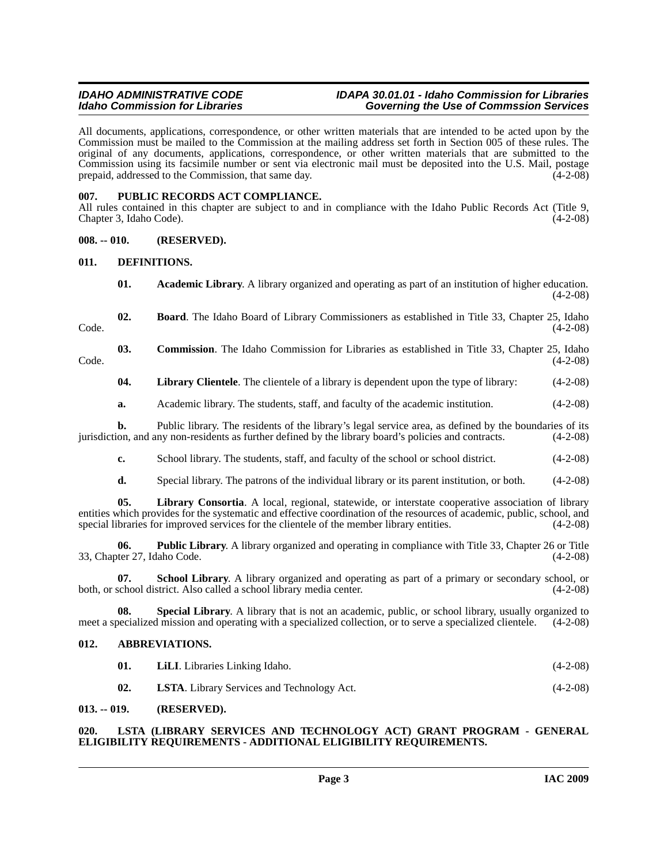#### *IDAHO ADMINISTRATIVE CODE IDAPA 30.01.01 - Idaho Commission for Libraries* **Governing the Use of Commssion Services**

All documents, applications, correspondence, or other written materials that are intended to be acted upon by the Commission must be mailed to the Commission at the mailing address set forth in Section 005 of these rules. The original of any documents, applications, correspondence, or other written materials that are submitted to the Commission using its facsimile number or sent via electronic mail must be deposited into the U.S. Mail, postage prepaid, addressed to the Commission, that same day. (4-2-08)

### <span id="page-2-0"></span>**007. PUBLIC RECORDS ACT COMPLIANCE.**

All rules contained in this chapter are subject to and in compliance with the Idaho Public Records Act (Title 9, Chapter 3, Idaho Code). (4-2-08)

### <span id="page-2-1"></span>**008. -- 010. (RESERVED).**

#### <span id="page-2-2"></span>**011. DEFINITIONS.**

- <span id="page-2-10"></span><span id="page-2-8"></span><span id="page-2-7"></span>**01. Academic Library**. A library organized and operating as part of an institution of higher education.  $(4-2-08)$
- **02. Board**. The Idaho Board of Library Commissioners as established in Title 33, Chapter 25, Idaho  $\text{Code.}$  (4-2-08)

### **03. Commission**. The Idaho Commission for Libraries as established in Title 33, Chapter 25, Idaho (4-2-08)  $\text{Code.}$  (4-2-08)

<span id="page-2-11"></span><span id="page-2-9"></span>**04.** Library Clientele. The clientele of a library is dependent upon the type of library: (4-2-08)

**a.** Academic library. The students, staff, and faculty of the academic institution. (4-2-08)

**b.** Public library. The residents of the library's legal service area, as defined by the boundaries of its jurisdiction, and any non-residents as further defined by the library board's policies and contracts. (4-2-08)

**c.** School library. The students, staff, and faculty of the school or school district. (4-2-08)

<span id="page-2-14"></span><span id="page-2-12"></span>**d.** Special library. The patrons of the individual library or its parent institution, or both. (4-2-08)

**05. Library Consortia**. A local, regional, statewide, or interstate cooperative association of library entities which provides for the systematic and effective coordination of the resources of academic, public, school, and special libraries for improved services for the clientele of the member library entities. (4-2-08)

**06. Public Library**. A library organized and operating in compliance with Title 33, Chapter 26 or Title ter 27, Idaho Code. (4-2-08) 33, Chapter 27, Idaho Code.

<span id="page-2-15"></span>**07. School Library**. A library organized and operating as part of a primary or secondary school, or both, or school district. Also called a school library media center. (4-2-08)

**08.** Special Library. A library that is not an academic, public, or school library, usually organized to be cialized mission and operating with a specialized collection, or to serve a specialized clientele. (4-2-08) meet a specialized mission and operating with a specialized collection, or to serve a specialized clientele.

#### <span id="page-2-3"></span>**012. ABBREVIATIONS.**

<span id="page-2-16"></span><span id="page-2-6"></span>

| 01. | <b>LiLI</b> . Libraries Linking Idaho.            | $(4-2-08)$ |
|-----|---------------------------------------------------|------------|
| 02. | <b>LSTA.</b> Library Services and Technology Act. | $(4-2-08)$ |

#### <span id="page-2-4"></span>**013. -- 019. (RESERVED).**

#### <span id="page-2-13"></span><span id="page-2-5"></span>**020. LSTA (LIBRARY SERVICES AND TECHNOLOGY ACT) GRANT PROGRAM - GENERAL ELIGIBILITY REQUIREMENTS - ADDITIONAL ELIGIBILITY REQUIREMENTS.**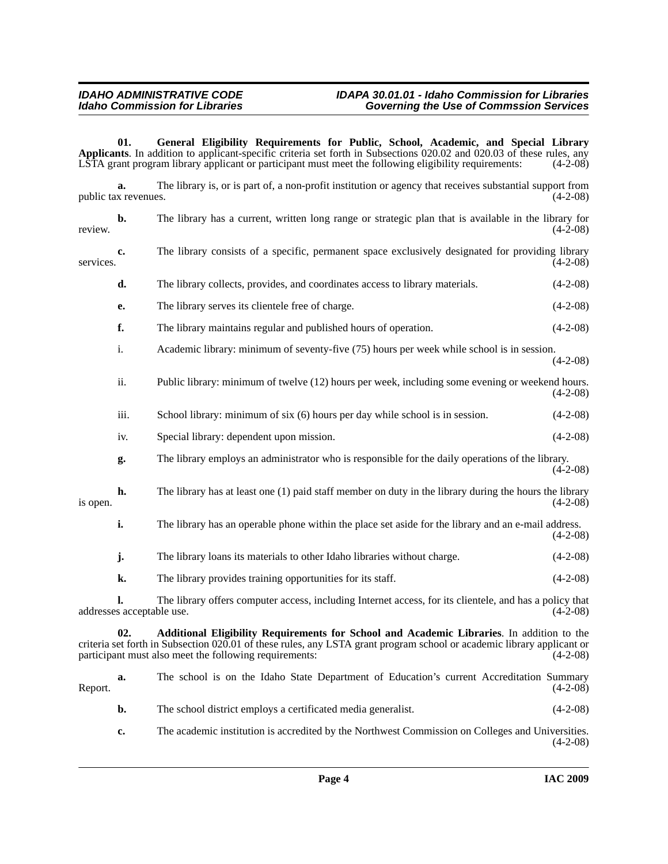#### *IDAHO ADMINISTRATIVE CODE IDAPA 30.01.01 - Idaho Commission for Libraries Idaho Commission for Libraries Governing the Use of Commssion Services*

**01. General Eligibility Requirements for Public, School, Academic, and Special Library Applicants**. In addition to applicant-specific criteria set forth in Subsections 020.02 and 020.03 of these rules, any LSTA grant program library applicant or participant must meet the following eligibility requirements: (4-2-08)

<span id="page-3-2"></span>**a.** The library is, or is part of, a non-profit institution or agency that receives substantial support from x revenues.  $(4-2-08)$ public tax revenues.

<span id="page-3-3"></span><span id="page-3-1"></span><span id="page-3-0"></span>

| review.   | b.                              | The library has a current, written long range or strategic plan that is available in the library for<br>$(4-2-08)$                                                                                                                                                            |            |  |
|-----------|---------------------------------|-------------------------------------------------------------------------------------------------------------------------------------------------------------------------------------------------------------------------------------------------------------------------------|------------|--|
| services. | c.                              | The library consists of a specific, permanent space exclusively designated for providing library<br>$(4-2-08)$                                                                                                                                                                |            |  |
|           | d.                              | The library collects, provides, and coordinates access to library materials.                                                                                                                                                                                                  | $(4-2-08)$ |  |
|           | е.                              | The library serves its clientele free of charge.                                                                                                                                                                                                                              | $(4-2-08)$ |  |
|           | f.                              | The library maintains regular and published hours of operation.                                                                                                                                                                                                               | $(4-2-08)$ |  |
|           | i.                              | Academic library: minimum of seventy-five (75) hours per week while school is in session.                                                                                                                                                                                     | $(4-2-08)$ |  |
|           | ii.                             | Public library: minimum of twelve (12) hours per week, including some evening or weekend hours.                                                                                                                                                                               | $(4-2-08)$ |  |
|           | iii.                            | School library: minimum of six (6) hours per day while school is in session.                                                                                                                                                                                                  | $(4-2-08)$ |  |
| is open.  | iv.                             | Special library: dependent upon mission.                                                                                                                                                                                                                                      | $(4-2-08)$ |  |
|           | g.                              | The library employs an administrator who is responsible for the daily operations of the library.                                                                                                                                                                              | $(4-2-08)$ |  |
|           | h.                              | The library has at least one (1) paid staff member on duty in the library during the hours the library                                                                                                                                                                        | $(4-2-08)$ |  |
|           | i.                              | The library has an operable phone within the place set aside for the library and an e-mail address.                                                                                                                                                                           | $(4-2-08)$ |  |
|           | j.                              | The library loans its materials to other Idaho libraries without charge.                                                                                                                                                                                                      | $(4-2-08)$ |  |
|           | k.                              | The library provides training opportunities for its staff.                                                                                                                                                                                                                    | $(4-2-08)$ |  |
|           | 1.<br>addresses acceptable use. | The library offers computer access, including Internet access, for its clientele, and has a policy that                                                                                                                                                                       | $(4-2-08)$ |  |
|           | 02.                             | Additional Eligibility Requirements for School and Academic Libraries. In addition to the<br>criteria set forth in Subsection 020.01 of these rules, any LSTA grant program school or academic library applicant or<br>participant must also meet the following requirements: | $(4-2-08)$ |  |
| Report.   | a.                              | The school is on the Idaho State Department of Education's current Accreditation Summary                                                                                                                                                                                      | $(4-2-08)$ |  |
|           | b.                              | The school district employs a certificated media generalist.                                                                                                                                                                                                                  | $(4-2-08)$ |  |
|           | c.                              | The academic institution is accredited by the Northwest Commission on Colleges and Universities.                                                                                                                                                                              | $(4-2-08)$ |  |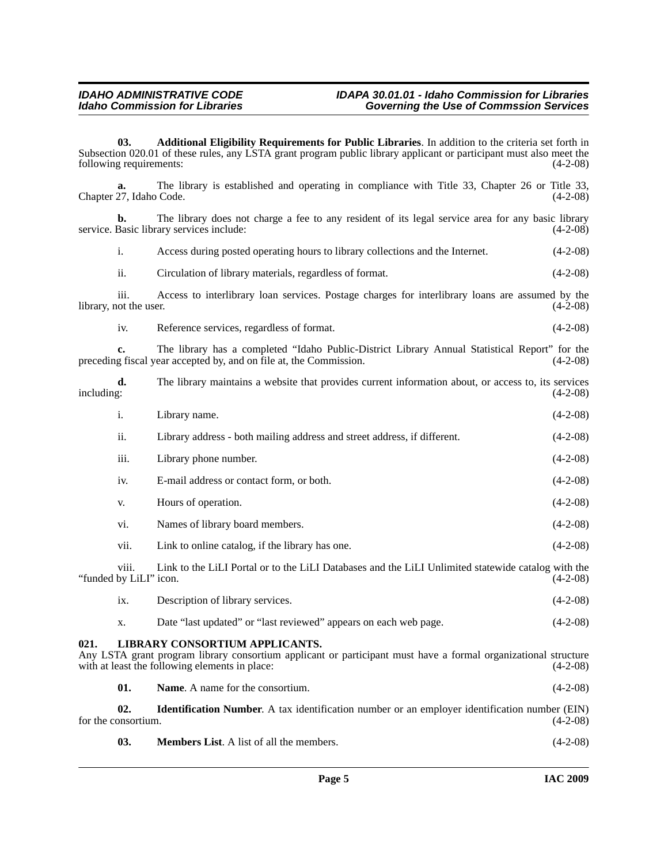#### *IDAHO ADMINISTRATIVE CODE IDAPA 30.01.01 - Idaho Commission for Libraries* **Governing the Use of Commssion Services**

<span id="page-4-6"></span><span id="page-4-5"></span><span id="page-4-4"></span><span id="page-4-3"></span><span id="page-4-2"></span><span id="page-4-1"></span><span id="page-4-0"></span>**03. Additional Eligibility Requirements for Public Libraries**. In addition to the criteria set forth in Subsection 020.01 of these rules, any LSTA grant program public library applicant or participant must also meet the following requirements: (4-2-08) following requirements: The library is established and operating in compliance with Title 33, Chapter 26 or Title 33, Code. (4-2-08) Chapter 27, Idaho Code. **b.** The library does not charge a fee to any resident of its legal service area for any basic library service. Basic library services include: (4-2-08) i. Access during posted operating hours to library collections and the Internet. (4-2-08) ii. Circulation of library materials, regardless of format. (4-2-08) iii. Access to interlibrary loan services. Postage charges for interlibrary loans are assumed by the user. (4-2-08) library, not the user. iv. Reference services, regardless of format. (4-2-08) **c.** The library has a completed "Idaho Public-District Library Annual Statistical Report" for the g fiscal year accepted by, and on file at, the Commission. (4-2-08) preceding fiscal year accepted by, and on file at, the Commission. **d.** The library maintains a website that provides current information about, or access to, its services including:  $(4-2-08)$ including: (4-2-08) i. Library name. (4-2-08) ii. Library address - both mailing address and street address, if different. (4-2-08) iii. Library phone number. (4-2-08) iv. E-mail address or contact form, or both. (4-2-08) v. Hours of operation. (4-2-08) vi. Names of library board members. (4-2-08) vii. Link to online catalog, if the library has one. (4-2-08) viii. Link to the LiLI Portal or to the LiLI Databases and the LiLI Unlimited statewide catalog with the "funded by LiLI" icon. (4-2-08) ix. Description of library services. (4-2-08) x. Date "last updated" or "last reviewed" appears on each web page. (4-2-08) **021. LIBRARY CONSORTIUM APPLICANTS.** Any LSTA grant program library consortium applicant or participant must have a formal organizational structure with at least the following elements in place: (4-2-08) with at least the following elements in place: **01.** Name. A name for the consortium. (4-2-08) **02. Identification Number**. A tax identification number or an employer identification number (EIN) for the consortium. (4-2-08) **03. Members List**. A list of all the members. (4-2-08)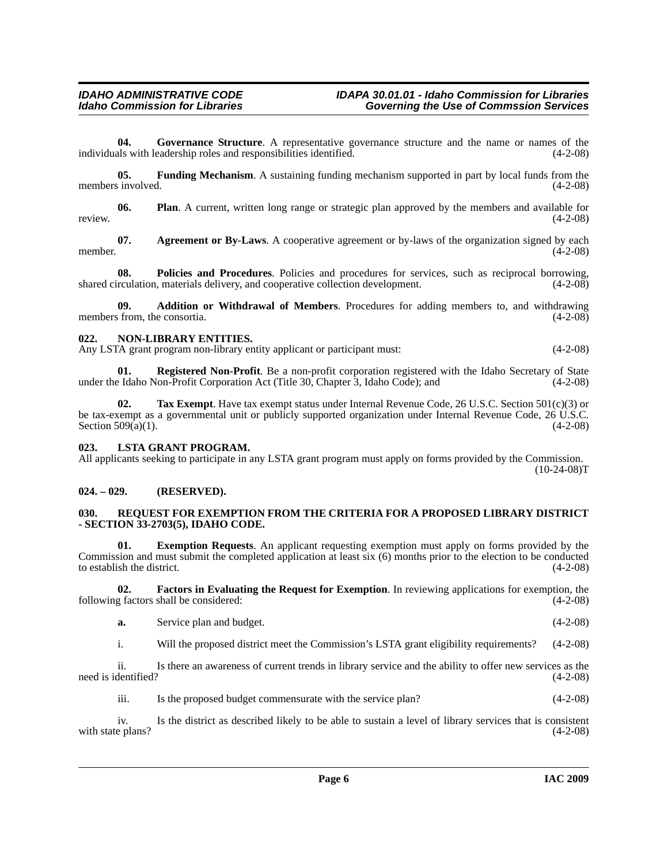<span id="page-5-7"></span>**04. Governance Structure**. A representative governance structure and the name or names of the individuals with leadership roles and responsibilities identified. (4-2-08)

<span id="page-5-6"></span>**05. Funding Mechanism**. A sustaining funding mechanism supported in part by local funds from the members involved. (4-2-08)

<span id="page-5-12"></span><span id="page-5-8"></span>**06. Plan**. A current, written long range or strategic plan approved by the members and available for review. (4-2-08)

<span id="page-5-5"></span>**07.** Agreement or By-Laws. A cooperative agreement or by-laws of the organization signed by each (4-2-08) member.  $(4-2-08)$ 

<span id="page-5-13"></span>**08. Policies and Procedures**. Policies and procedures for services, such as reciprocal borrowing, shared circulation, materials delivery, and cooperative collection development.  $(4-2-08)$ 

<span id="page-5-4"></span>**09. Addition or Withdrawal of Members**. Procedures for adding members to, and withdrawing members from, the consortia. (4-2-08)

#### <span id="page-5-11"></span><span id="page-5-9"></span><span id="page-5-0"></span>**022. NON-LIBRARY ENTITIES.**

Any LSTA grant program non-library entity applicant or participant must: (4-2-08)

<span id="page-5-14"></span>**01. Registered Non-Profit**. Be a non-profit corporation registered with the Idaho Secretary of State under the Idaho Non-Profit Corporation Act (Title 30, Chapter 3, Idaho Code); and (4-2-08)

<span id="page-5-16"></span>**02. Tax Exempt**. Have tax exempt status under Internal Revenue Code, 26 U.S.C. Section 501(c)(3) or be tax-exempt as a governmental unit or publicly supported organization under Internal Revenue Code, 26 U.S.C. Section  $509(a)(1)$ . (4-2-08)

#### <span id="page-5-10"></span><span id="page-5-1"></span>**023. LSTA GRANT PROGRAM.**

All applicants seeking to participate in any LSTA grant program must apply on forms provided by the Commission.  $(10-24-08)T$ 

### <span id="page-5-2"></span>**024. – 029. (RESERVED).**

#### <span id="page-5-15"></span><span id="page-5-3"></span>**030. REQUEST FOR EXEMPTION FROM THE CRITERIA FOR A PROPOSED LIBRARY DISTRICT - SECTION 33-2703(5), IDAHO CODE.**

**01. Exemption Requests**. An applicant requesting exemption must apply on forms provided by the Commission and must submit the completed application at least six (6) months prior to the election to be conducted to establish the district.  $(4-2-08)$ 

**02.** Factors in Evaluating the Request for Exemption. In reviewing applications for exemption, the g factors shall be considered: (4-2-08) following factors shall be considered:

**a.** Service plan and budget. (4-2-08)

i. Will the proposed district meet the Commission's LSTA grant eligibility requirements? (4-2-08)

ii. Is there an awareness of current trends in library service and the ability to offer new services as the need is identified? (4-2-08)

iii. Is the proposed budget commensurate with the service plan? (4-2-08)

iv. Is the district as described likely to be able to sustain a level of library services that is consistent with state plans?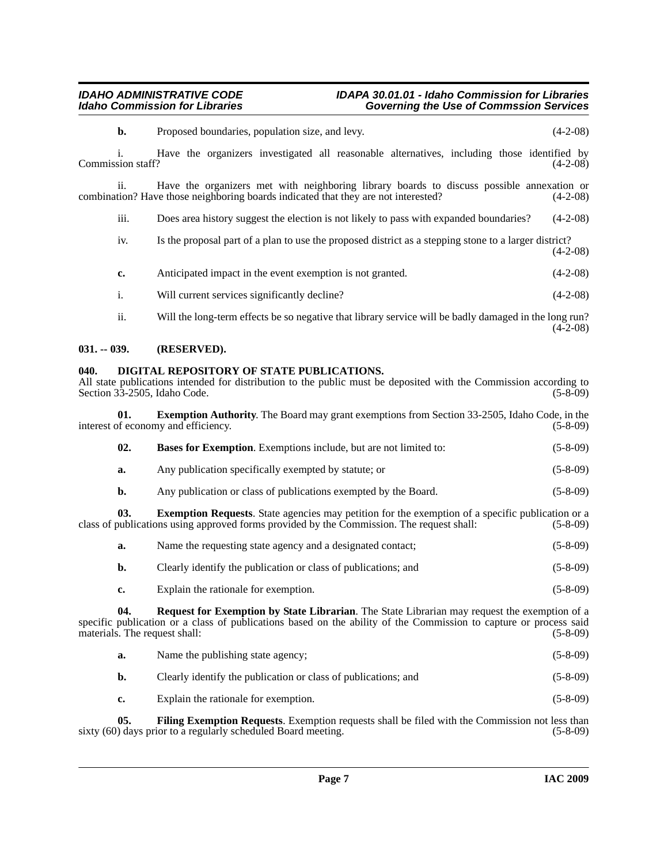### *IDAHO ADMINISTRATIVE CODE IDAPA 30.01.01 - Idaho Commission for Libraries Idaho Commission for Libraries Governing the Use of Commssion Services*

<span id="page-6-3"></span><span id="page-6-1"></span><span id="page-6-0"></span>

|                                                                                                                                                                                                                                                           | b.                      | Proposed boundaries, population size, and levy.                                                                                                                                                      | $(4-2-08)$     |  |  |
|-----------------------------------------------------------------------------------------------------------------------------------------------------------------------------------------------------------------------------------------------------------|-------------------------|------------------------------------------------------------------------------------------------------------------------------------------------------------------------------------------------------|----------------|--|--|
|                                                                                                                                                                                                                                                           | i.<br>Commission staff? | Have the organizers investigated all reasonable alternatives, including those identified by                                                                                                          | $(4-2-08)$     |  |  |
|                                                                                                                                                                                                                                                           | ii.                     | Have the organizers met with neighboring library boards to discuss possible annexation or<br>combination? Have those neighboring boards indicated that they are not interested?                      | $(4-2-08)$     |  |  |
|                                                                                                                                                                                                                                                           | iii.                    | Does area history suggest the election is not likely to pass with expanded boundaries?                                                                                                               | $(4-2-08)$     |  |  |
|                                                                                                                                                                                                                                                           | iv.                     | Is the proposal part of a plan to use the proposed district as a stepping stone to a larger district?                                                                                                | $(4-2-08)$     |  |  |
|                                                                                                                                                                                                                                                           | c.                      | Anticipated impact in the event exemption is not granted.                                                                                                                                            | $(4-2-08)$     |  |  |
|                                                                                                                                                                                                                                                           | i.                      | Will current services significantly decline?                                                                                                                                                         | $(4-2-08)$     |  |  |
|                                                                                                                                                                                                                                                           | ii.                     | Will the long-term effects be so negative that library service will be badly damaged in the long run?                                                                                                | $(4-2-08)$     |  |  |
| $031. - 039.$                                                                                                                                                                                                                                             |                         | (RESERVED).                                                                                                                                                                                          |                |  |  |
| DIGITAL REPOSITORY OF STATE PUBLICATIONS.<br>040.<br>All state publications intended for distribution to the public must be deposited with the Commission according to<br>Section 33-2505, Idaho Code.<br>$(5-8-09)$                                      |                         |                                                                                                                                                                                                      |                |  |  |
| 01.<br><b>Exemption Authority.</b> The Board may grant exemptions from Section 33-2505, Idaho Code, in the<br>interest of economy and efficiency.<br>$(5-8-09)$                                                                                           |                         |                                                                                                                                                                                                      |                |  |  |
|                                                                                                                                                                                                                                                           | 02.                     | Bases for Exemption. Exemptions include, but are not limited to:                                                                                                                                     | $(5-8-09)$     |  |  |
|                                                                                                                                                                                                                                                           | a.                      | Any publication specifically exempted by statute; or                                                                                                                                                 | $(5-8-09)$     |  |  |
|                                                                                                                                                                                                                                                           | b.                      | Any publication or class of publications exempted by the Board.                                                                                                                                      | $(5 - 8 - 09)$ |  |  |
|                                                                                                                                                                                                                                                           | 03.                     | <b>Exemption Requests.</b> State agencies may petition for the exemption of a specific publication or a<br>class of publications using approved forms provided by the Commission. The request shall: | $(5-8-09)$     |  |  |
|                                                                                                                                                                                                                                                           | a.                      | Name the requesting state agency and a designated contact;                                                                                                                                           | $(5-8-09)$     |  |  |
|                                                                                                                                                                                                                                                           | b.                      | Clearly identify the publication or class of publications; and                                                                                                                                       | $(5-8-09)$     |  |  |
|                                                                                                                                                                                                                                                           | c.                      | Explain the rationale for exemption.                                                                                                                                                                 | $(5-8-09)$     |  |  |
| Request for Exemption by State Librarian. The State Librarian may request the exemption of a<br>04.<br>specific publication or a class of publications based on the ability of the Commission to capture or process said<br>materials. The request shall: |                         |                                                                                                                                                                                                      |                |  |  |
|                                                                                                                                                                                                                                                           | a.                      | Name the publishing state agency;                                                                                                                                                                    | $(5-8-09)$     |  |  |

- <span id="page-6-7"></span><span id="page-6-5"></span><span id="page-6-4"></span><span id="page-6-2"></span>**b.** Clearly identify the publication or class of publications; and (5-8-09)
- <span id="page-6-6"></span>**c.** Explain the rationale for exemption. (5-8-09)

**05. Filing Exemption Requests**. Exemption requests shall be filed with the Commission not less than sixty (60) days prior to a regularly scheduled Board meeting. (5-8-09)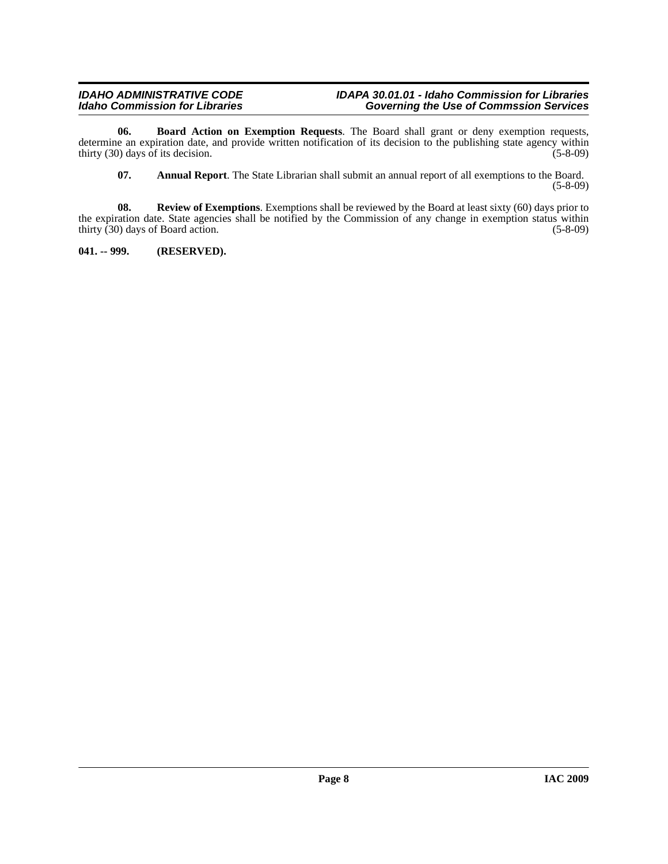#### *IDAHO ADMINISTRATIVE CODE IDAPA 30.01.01 - Idaho Commission for Libraries Idaho Commission for Libraries Governing the Use of Commssion Services*

**06. Board Action on Exemption Requests**. The Board shall grant or deny exemption requests, determine an expiration date, and provide written notification of its decision to the publishing state agency within thirty  $(30)$  days of its decision. (5-8-09)

<span id="page-7-3"></span><span id="page-7-2"></span><span id="page-7-1"></span>**07. Annual Report**. The State Librarian shall submit an annual report of all exemptions to the Board. (5-8-09)

**08.** Review of Exemptions. Exemptions shall be reviewed by the Board at least sixty (60) days prior to the expiration date. State agencies shall be notified by the Commission of any change in exemption status within thirty (30) days of Board action. (5-8-09) thirty  $(30)$  days of Board action.

<span id="page-7-0"></span>**041. -- 999. (RESERVED).**